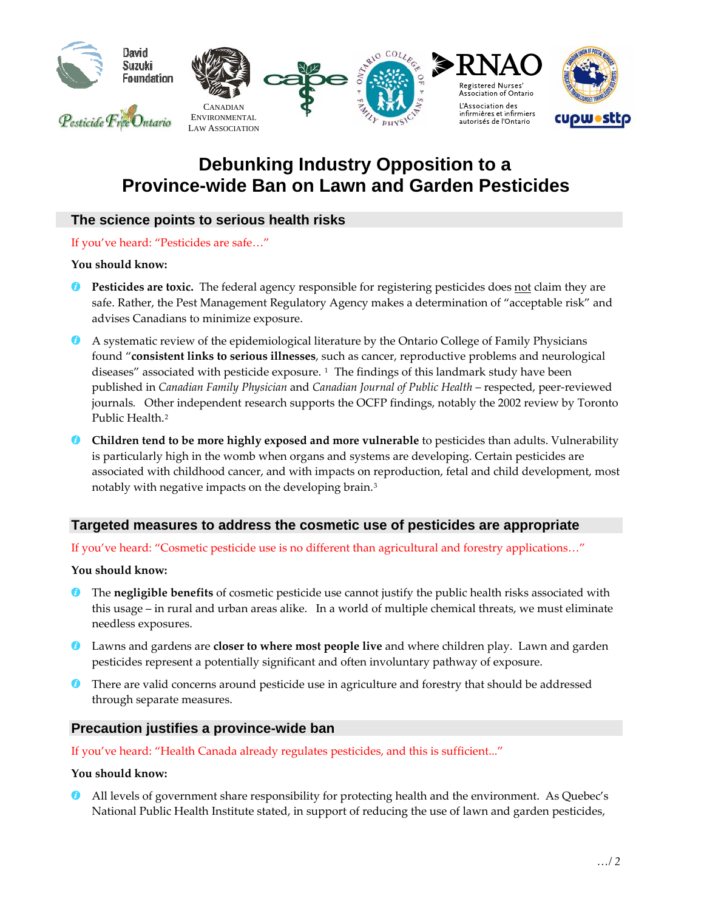

# **Debunking Industry Opposition to a Province-wide Ban on Lawn and Garden Pesticides**

## **The science points to serious health risks**

If you've heard: "Pesticides are safe…"

**You should know:**

- **Pesticides are toxic.** The federal agency responsible for registering pesticides does not claim they are safe. Rather, the Pest Management Regulatory Agency makes a determination of "acceptable risk" and advises Canadians to minimize exposure.
- A systematic review of the epidemiological literature by the Ontario College of Family Physicians found "**consistent links to serious illnesses**, such as cancer, reproductive problems and neurological diseases" associated with pesticide exposure. <sup>[1](#page-1-0)</sup> The findings of this landmark study have been published in *Canadian Family Physician* and *Canadian Journal of Public Health* – respected, peer‐reviewed journals*.* Other independent research supports the OCFP findings, notably the 2002 review by Toronto Public Health.<sup>[2](#page-1-1)</sup>
- **Children tend to be more highly exposed and more vulnerable** to pesticides than adults. Vulnerability is particularly high in the womb when organs and systems are developing. Certain pesticides are associated with childhood cancer, and with impacts on reproduction, fetal and child development, most notably with negative impacts on the developing brain.[3](#page-1-1)

## **Targeted measures to address the cosmetic use of pesticides are appropriate**

If you've heard: "Cosmetic pesticide use is no different than agricultural and forestry applications…"

**You should know:**

- **The negligible benefits** of cosmetic pesticide use cannot justify the public health risks associated with this usage – in rural and urban areas alike. In a world of multiple chemical threats, we must eliminate needless exposures.
- Lawns and gardens are **closer to where most people live** and where children play. Lawn and garden pesticides represent a potentially significant and often involuntary pathway of exposure.
- **There are valid concerns around pesticide use in agriculture and forestry that should be addressed** through separate measures.

## **Precaution justifies a province-wide ban**

If you've heard: "Health Canada already regulates pesticides, and this is sufficient..."

#### **You should know:**

All levels of government share responsibility for protecting health and the environment. As Quebec's National Public Health Institute stated, in support of reducing the use of lawn and garden pesticides,